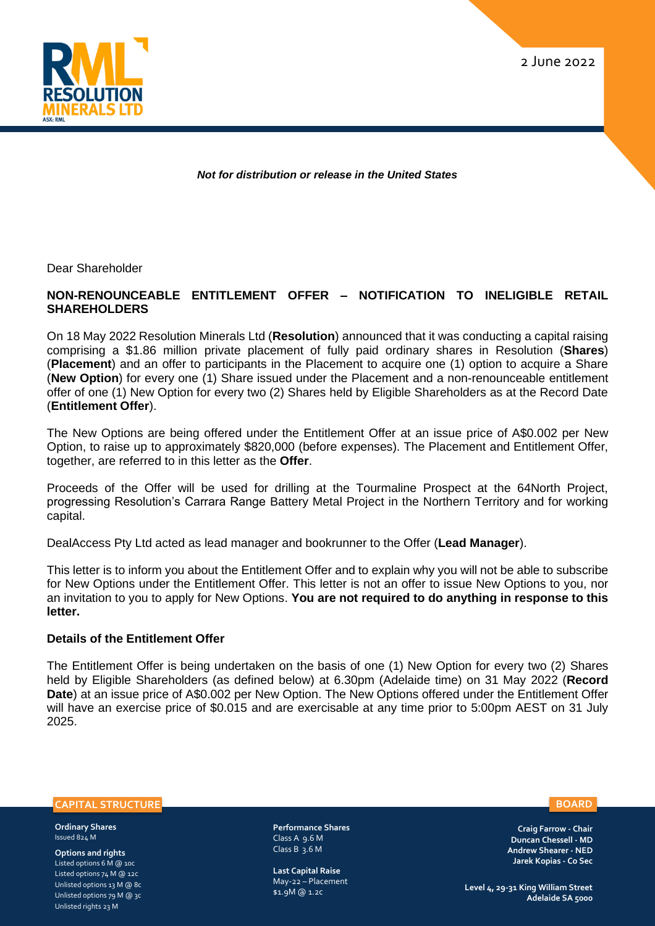2 June 2022



*Not for distribution or release in the United States*

Dear Shareholder

## **NON-RENOUNCEABLE ENTITLEMENT OFFER – NOTIFICATION TO INELIGIBLE RETAIL SHAREHOLDERS**

On 18 May 2022 Resolution Minerals Ltd (**Resolution**) announced that it was conducting a capital raising comprising a \$1.86 million private placement of fully paid ordinary shares in Resolution (**Shares**) (**Placement**) and an offer to participants in the Placement to acquire one (1) option to acquire a Share (**New Option**) for every one (1) Share issued under the Placement and a non-renounceable entitlement offer of one (1) New Option for every two (2) Shares held by Eligible Shareholders as at the Record Date (**Entitlement Offer**).

The New Options are being offered under the Entitlement Offer at an issue price of A\$0.002 per New Option, to raise up to approximately \$820,000 (before expenses). The Placement and Entitlement Offer, together, are referred to in this letter as the **Offer**.

Proceeds of the Offer will be used for drilling at the Tourmaline Prospect at the 64North Project, progressing Resolution's Carrara Range Battery Metal Project in the Northern Territory and for working capital.

DealAccess Pty Ltd acted as lead manager and bookrunner to the Offer (**Lead Manager**).

This letter is to inform you about the Entitlement Offer and to explain why you will not be able to subscribe for New Options under the Entitlement Offer. This letter is not an offer to issue New Options to you, nor an invitation to you to apply for New Options. **You are not required to do anything in response to this letter.** 

#### **Details of the Entitlement Offer**

The Entitlement Offer is being undertaken on the basis of one (1) New Option for every two (2) Shares held by Eligible Shareholders (as defined below) at 6.30pm (Adelaide time) on 31 May 2022 (**Record Date**) at an issue price of A\$0.002 per New Option. The New Options offered under the Entitlement Offer will have an exercise price of \$0.015 and are exercisable at any time prior to 5:00pm AEST on 31 July 2025.

**CAPITAL STRUCTURE**

**Ordinary Shares**  Issued 824 M

**Options and rights** Listed options 6 M @ 10c Listed options 74 M @ 12c Unlisted options 13 M @ 8c Unlisted options 79 M @ 3c Unlisted rights 23 M

**Performance Shares**  Class A 9.6 M Class B  $\overline{3}$ .6 M

**Last Capital Raise**  May-22 – Placement \$1.9M @ 1.2c

**Craig Farrow - Chair** 

**BOARD**

**Duncan Chessell - MD Andrew Shearer - NED Jarek Kopias - Co Sec**

**Level 4, 29-31 King William Street Adelaide SA 5000**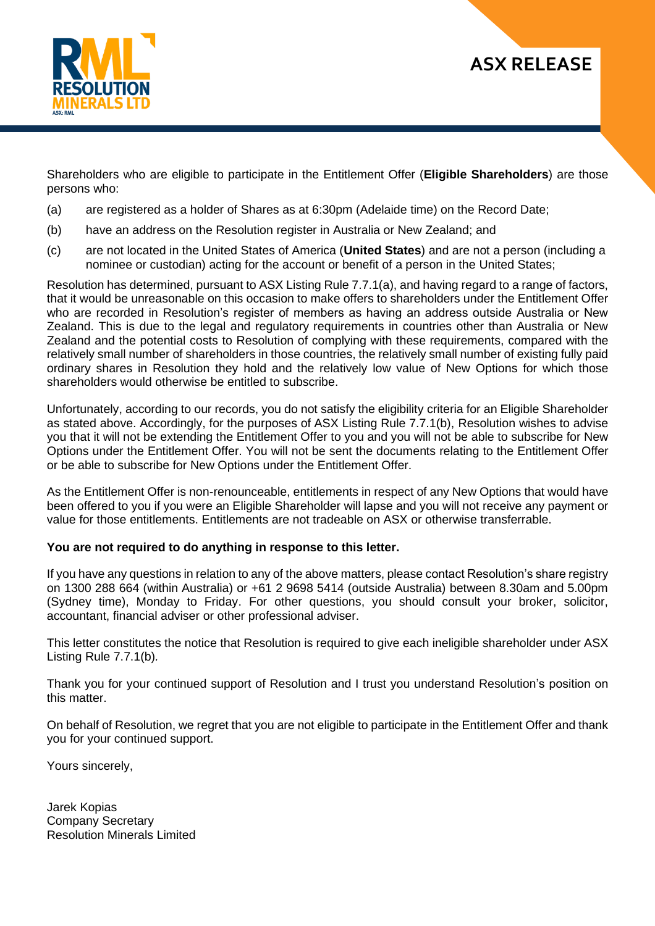

# **ASX RELEASE**

Shareholders who are eligible to participate in the Entitlement Offer (**Eligible Shareholders**) are those persons who:

- (a) are registered as a holder of Shares as at 6:30pm (Adelaide time) on the Record Date;
- (b) have an address on the Resolution register in Australia or New Zealand; and
- (c) are not located in the United States of America (**United States**) and are not a person (including a nominee or custodian) acting for the account or benefit of a person in the United States;

Resolution has determined, pursuant to ASX Listing Rule 7.7.1(a), and having regard to a range of factors, that it would be unreasonable on this occasion to make offers to shareholders under the Entitlement Offer who are recorded in Resolution's register of members as having an address outside Australia or New Zealand. This is due to the legal and regulatory requirements in countries other than Australia or New Zealand and the potential costs to Resolution of complying with these requirements, compared with the relatively small number of shareholders in those countries, the relatively small number of existing fully paid ordinary shares in Resolution they hold and the relatively low value of New Options for which those shareholders would otherwise be entitled to subscribe.

Unfortunately, according to our records, you do not satisfy the eligibility criteria for an Eligible Shareholder as stated above. Accordingly, for the purposes of ASX Listing Rule 7.7.1(b), Resolution wishes to advise you that it will not be extending the Entitlement Offer to you and you will not be able to subscribe for New Options under the Entitlement Offer. You will not be sent the documents relating to the Entitlement Offer or be able to subscribe for New Options under the Entitlement Offer.

As the Entitlement Offer is non-renounceable, entitlements in respect of any New Options that would have been offered to you if you were an Eligible Shareholder will lapse and you will not receive any payment or value for those entitlements. Entitlements are not tradeable on ASX or otherwise transferrable.

### **You are not required to do anything in response to this letter.**

If you have any questions in relation to any of the above matters, please contact Resolution's share registry on 1300 288 664 (within Australia) or +61 2 9698 5414 (outside Australia) between 8.30am and 5.00pm (Sydney time), Monday to Friday. For other questions, you should consult your broker, solicitor, accountant, financial adviser or other professional adviser.

This letter constitutes the notice that Resolution is required to give each ineligible shareholder under ASX Listing Rule 7.7.1(b)*.*

Thank you for your continued support of Resolution and I trust you understand Resolution's position on this matter.

On behalf of Resolution, we regret that you are not eligible to participate in the Entitlement Offer and thank you for your continued support.

Yours sincerely,

Jarek Kopias Company Secretary Resolution Minerals Limited